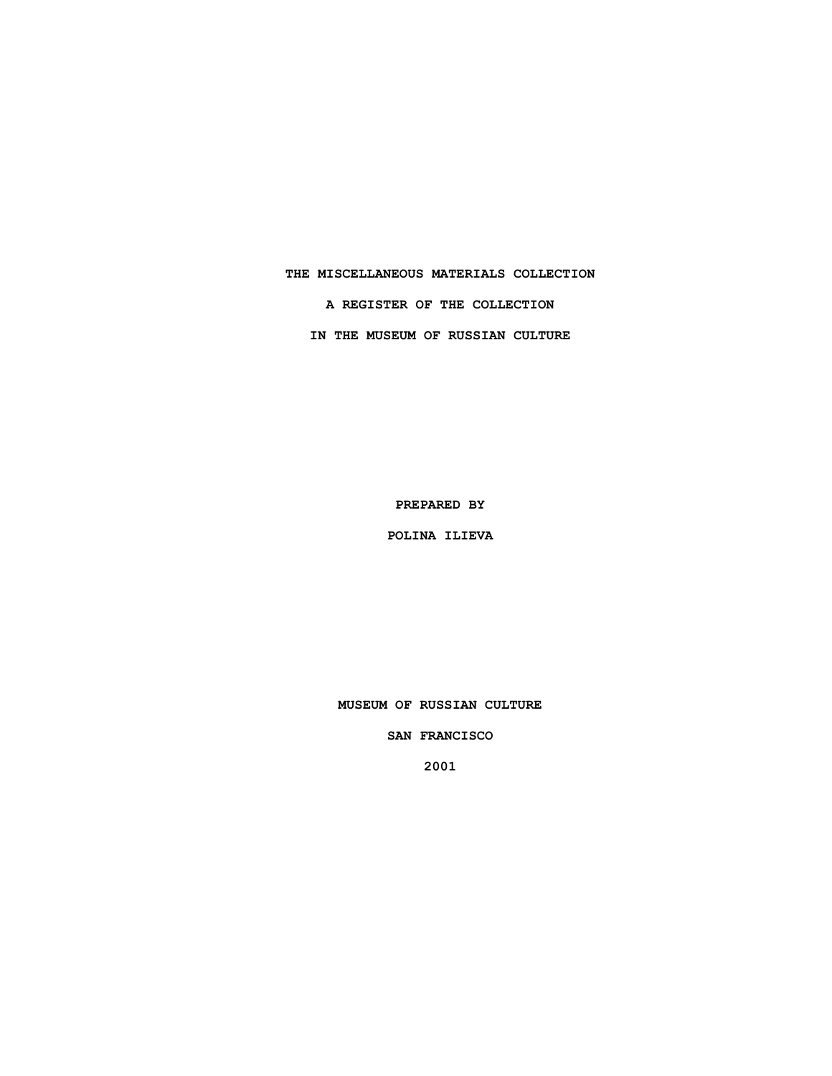# **THE MISCELLANEOUS MATERIALS COLLECTION A REGISTER OF THE COLLECTION IN THE MUSEUM OF RUSSIAN CULTURE**

**PREPARED BY**

**POLINA ILIEVA**

**MUSEUM OF RUSSIAN CULTURE**

**SAN FRANCISCO**

**2001**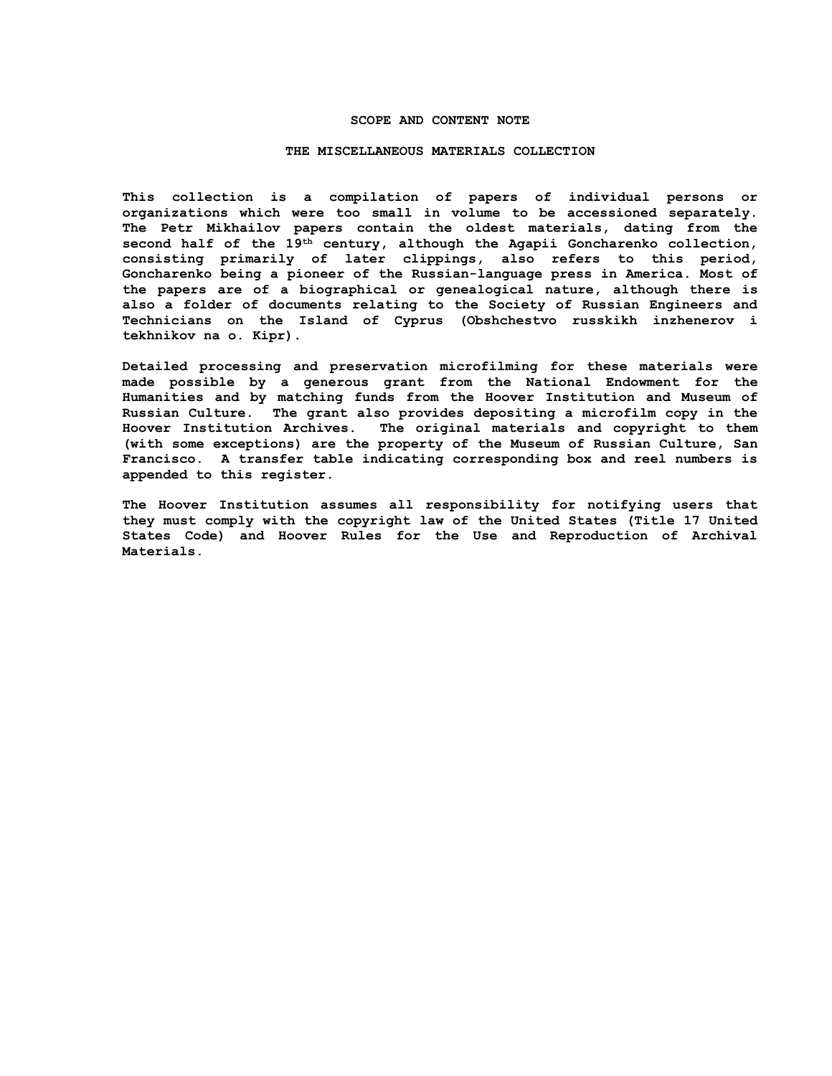### **SCOPE AND CONTENT NOTE**

#### **THE MISCELLANEOUS MATERIALS COLLECTION**

**This collection is a compilation of papers of individual persons or organizations which were too small in volume to be accessioned separately. The Petr Mikhailov papers contain the oldest materials, dating from the second half of the 19th century, although the Agapii Goncharenko collection, consisting primarily of later clippings, also refers to this period, Goncharenko being a pioneer of the Russian-language press in America. Most of the papers are of a biographical or genealogical nature, although there is also a folder of documents relating to the Society of Russian Engineers and Technicians on the Island of Cyprus (Obshchestvo russkikh inzhenerov i tekhnikov na o. Kipr).**

**Detailed processing and preservation microfilming for these materials were made possible by a generous grant from the National Endowment for the Humanities and by matching funds from the Hoover Institution and Museum of Russian Culture. The grant also provides depositing a microfilm copy in the Hoover Institution Archives. The original materials and copyright to them (with some exceptions) are the property of the Museum of Russian Culture, San Francisco. A transfer table indicating corresponding box and reel numbers is appended to this register.**

**The Hoover Institution assumes all responsibility for notifying users that they must comply with the copyright law of the United States (Title 17 United States Code) and Hoover Rules for the Use and Reproduction of Archival Materials.**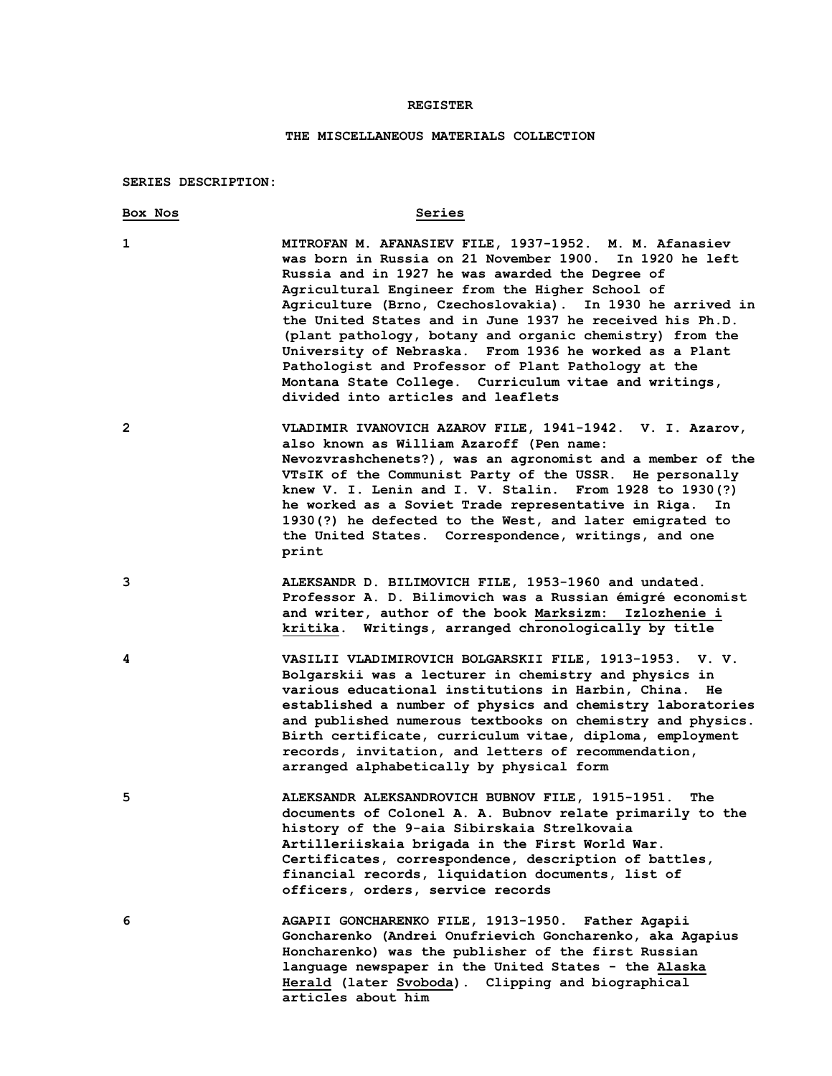#### **REGISTER**

#### **THE MISCELLANEOUS MATERIALS COLLECTION**

#### **SERIES DESCRIPTION:**

## **Box Nos Series 1 MITROFAN M. AFANASIEV FILE, 1937-1952. M. M. Afanasiev was born in Russia on 21 November 1900. In 1920 he left Russia and in 1927 he was awarded the Degree of Agricultural Engineer from the Higher School of Agriculture (Brno, Czechoslovakia). In 1930 he arrived in the United States and in June 1937 he received his Ph.D. (plant pathology, botany and organic chemistry) from the University of Nebraska. From 1936 he worked as a Plant Pathologist and Professor of Plant Pathology at the Montana State College. Curriculum vitae and writings, divided into articles and leaflets 2 VLADIMIR IVANOVICH AZAROV FILE, 1941-1942. V. I. Azarov, also known as William Azaroff (Pen name: Nevozvrashchenets?), was an agronomist and a member of the VTsIK of the Communist Party of the USSR. He personally knew V. I. Lenin and I. V. Stalin. From 1928 to 1930(?) he worked as a Soviet Trade representative in Riga. In 1930(?) he defected to the West, and later emigrated to the United States. Correspondence, writings, and one print 3 ALEKSANDR D. BILIMOVICH FILE, 1953-1960 and undated. Professor A. D. Bilimovich was a Russian émigré economist and writer, author of the book Marksizm: Izlozhenie i kritika. Writings, arranged chronologically by title 4 VASILII VLADIMIROVICH BOLGARSKII FILE, 1913-1953. V. V. Bolgarskii was a lecturer in chemistry and physics in various educational institutions in Harbin, China. He established a number of physics and chemistry laboratories and published numerous textbooks on chemistry and physics. Birth certificate, curriculum vitae, diploma, employment records, invitation, and letters of recommendation, arranged alphabetically by physical form 5 ALEKSANDR ALEKSANDROVICH BUBNOV FILE, 1915-1951. The documents of Colonel A. A. Bubnov relate primarily to the history of the 9-aia Sibirskaia Strelkovaia Artilleriiskaia brigada in the First World War. Certificates, correspondence, description of battles, financial records, liquidation documents, list of officers, orders, service records 6 AGAPII GONCHARENKO FILE, 1913-1950. Father Agapii Goncharenko (Andrei Onufrievich Goncharenko, aka Agapius Honcharenko) was the publisher of the first Russian language newspaper in the United States - the Alaska Herald (later Svoboda). Clipping and biographical**

**articles about him**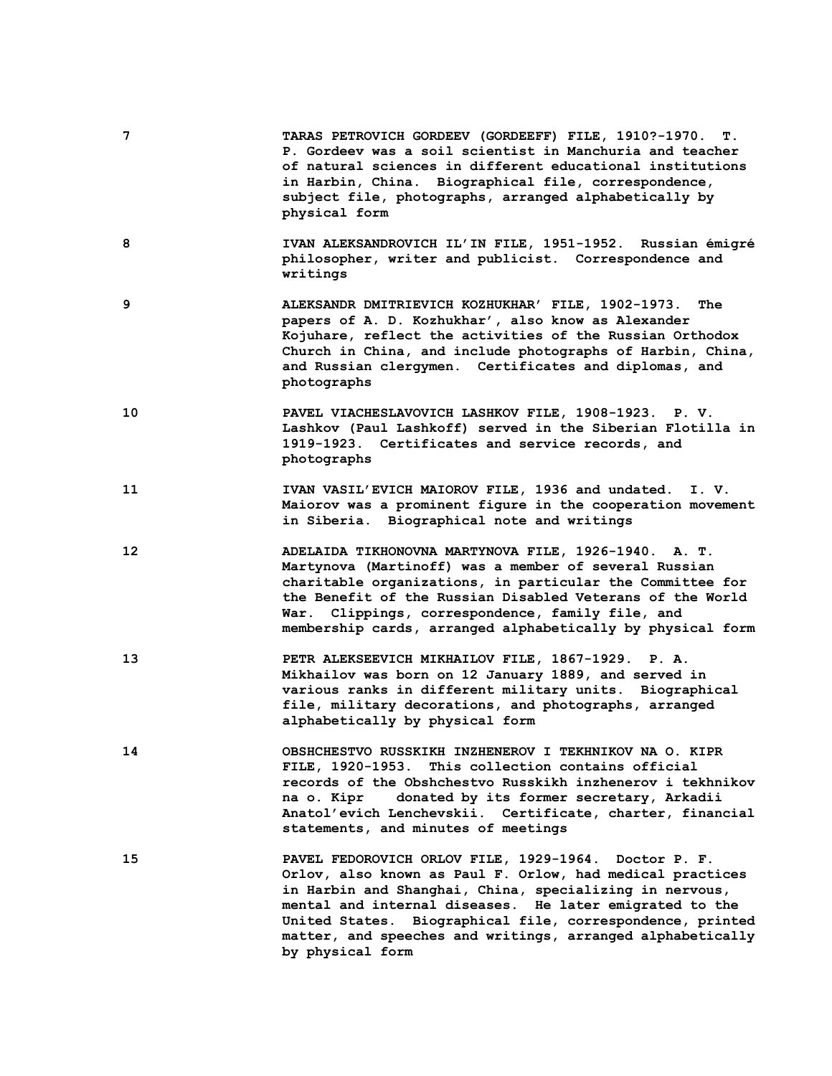- **7 TARAS PETROVICH GORDEEV (GORDEEFF) FILE, 1910?-1970. T. P. Gordeev was a soil scientist in Manchuria and teacher of natural sciences in different educational institutions in Harbin, China. Biographical file, correspondence, subject file, photographs, arranged alphabetically by physical form**
- **8 IVAN ALEKSANDROVICH IL'IN FILE, 1951-1952. Russian émigré philosopher, writer and publicist. Correspondence and writings**
- **9 ALEKSANDR DMITRIEVICH KOZHUKHAR' FILE, 1902-1973. The papers of A. D. Kozhukhar', also know as Alexander Kojuhare, reflect the activities of the Russian Orthodox Church in China, and include photographs of Harbin, China, and Russian clergymen. Certificates and diplomas, and photographs**
- **10 PAVEL VIACHESLAVOVICH LASHKOV FILE, 1908-1923. P. V. Lashkov (Paul Lashkoff) served in the Siberian Flotilla in 1919-1923. Certificates and service records, and photographs**
- **11 IVAN VASIL'EVICH MAIOROV FILE, 1936 and undated. I. V. Maiorov was a prominent figure in the cooperation movement in Siberia. Biographical note and writings**
- **12 ADELAIDA TIKHONOVNA MARTYNOVA FILE, 1926-1940. A. T. Martynova (Martinoff) was a member of several Russian charitable organizations, in particular the Committee for the Benefit of the Russian Disabled Veterans of the World War. Clippings, correspondence, family file, and membership cards, arranged alphabetically by physical form**
- **13 PETR ALEKSEEVICH MIKHAILOV FILE, 1867-1929. P. A. Mikhailov was born on 12 January 1889, and served in various ranks in different military units. Biographical file, military decorations, and photographs, arranged alphabetically by physical form**
- **14 OBSHCHESTVO RUSSKIKH INZHENEROV I TEKHNIKOV NA O. KIPR FILE, 1920-1953. This collection contains official records of the Obshchestvo Russkikh inzhenerov i tekhnikov na o. Kipr donated by its former secretary, Arkadii Anatol'evich Lenchevskii. Certificate, charter, financial statements, and minutes of meetings**
- **15 PAVEL FEDOROVICH ORLOV FILE, 1929-1964. Doctor P. F. Orlov, also known as Paul F. Orlow, had medical practices in Harbin and Shanghai, China, specializing in nervous, mental and internal diseases. He later emigrated to the United States. Biographical file, correspondence, printed matter, and speeches and writings, arranged alphabetically by physical form**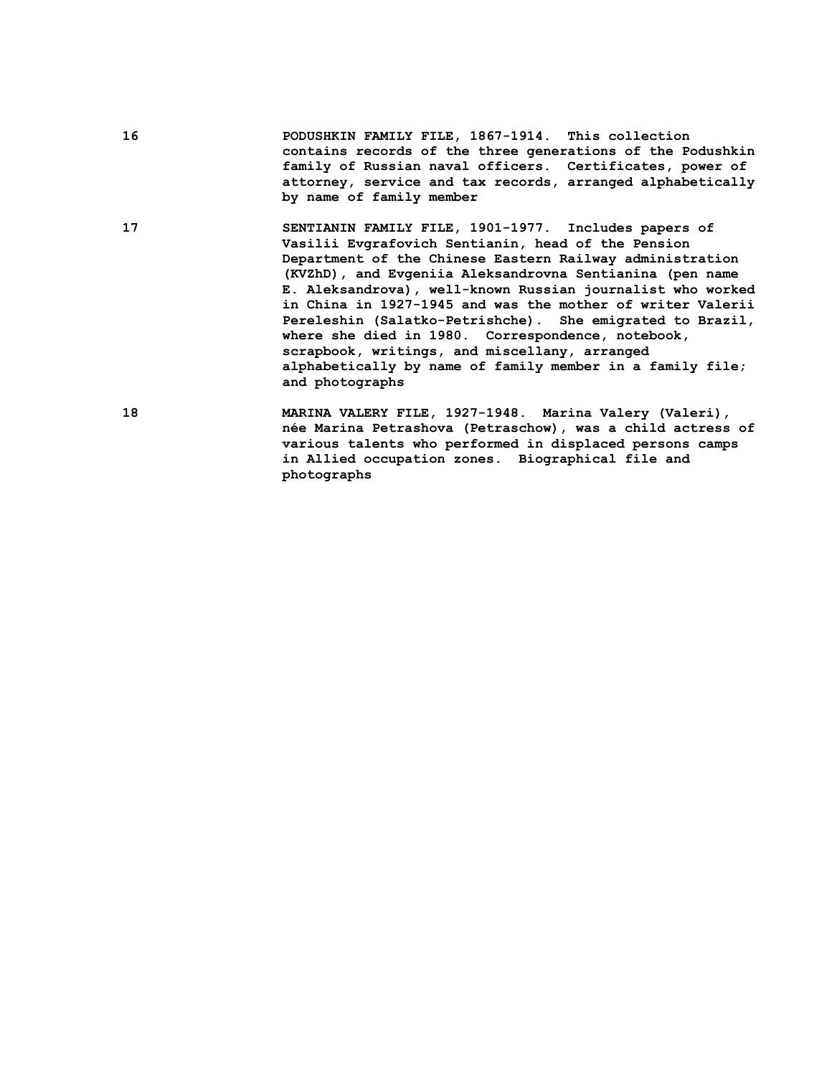**16 PODUSHKIN FAMILY FILE, 1867-1914. This collection contains records of the three generations of the Podushkin family of Russian naval officers. Certificates, power of attorney, service and tax records, arranged alphabetically by name of family member**

**17 SENTIANIN FAMILY FILE, 1901-1977. Includes papers of Vasilii Evgrafovich Sentianin, head of the Pension Department of the Chinese Eastern Railway administration (KVZhD), and Evgeniia Aleksandrovna Sentianina (pen name E. Aleksandrova), well-known Russian journalist who worked in China in 1927-1945 and was the mother of writer Valerii Pereleshin (Salatko-Petrishche). She emigrated to Brazil, where she died in 1980. Correspondence, notebook, scrapbook, writings, and miscellany, arranged alphabetically by name of family member in a family file; and photographs**

**18 MARINA VALERY FILE, 1927-1948. Marina Valery (Valeri), née Marina Petrashova (Petraschow), was a child actress of various talents who performed in displaced persons camps in Allied occupation zones. Biographical file and photographs**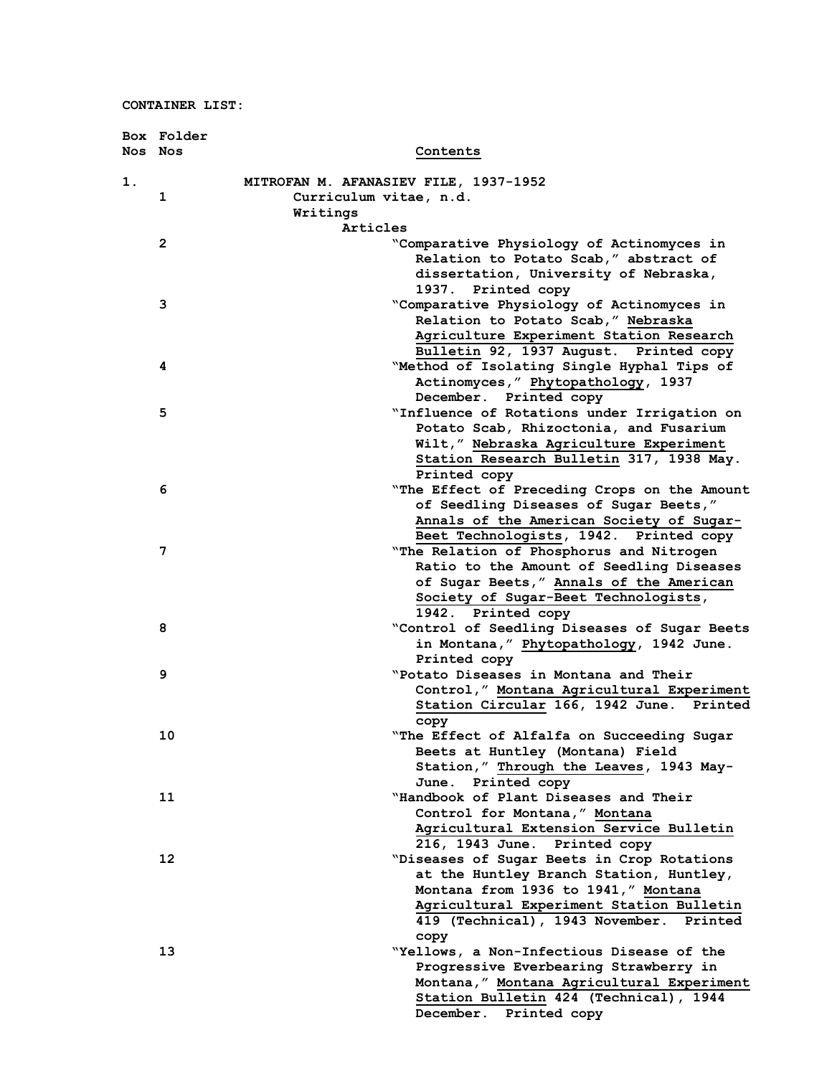|       | Box Folder |                                                                                 |
|-------|------------|---------------------------------------------------------------------------------|
|       | Nos Nos    | Contents                                                                        |
| $1$ . |            | MITROFAN M. AFANASIEV FILE, 1937-1952                                           |
|       | 1          | Curriculum vitae, n.d.                                                          |
|       |            | Writings                                                                        |
|       |            | Articles                                                                        |
|       | 2          | "Comparative Physiology of Actinomyces in                                       |
|       |            | Relation to Potato Scab," abstract of                                           |
|       |            | dissertation, University of Nebraska,                                           |
|       |            | 1937. Printed copy                                                              |
|       | 3          | "Comparative Physiology of Actinomyces in                                       |
|       |            | Relation to Potato Scab," Nebraska                                              |
|       |            | Agriculture Experiment Station Research                                         |
|       |            | Bulletin 92, 1937 August. Printed copy                                          |
|       | 4          | "Method of Isolating Single Hyphal Tips of                                      |
|       |            | Actinomyces," Phytopathology, 1937                                              |
|       |            | December. Printed copy                                                          |
|       | 5          | "Influence of Rotations under Irrigation on                                     |
|       |            | Potato Scab, Rhizoctonia, and Fusarium                                          |
|       |            | Wilt," Nebraska Agriculture Experiment                                          |
|       |            | Station Research Bulletin 317, 1938 May.                                        |
|       |            | Printed copy                                                                    |
|       | 6          | "The Effect of Preceding Crops on the Amount                                    |
|       |            | of Seedling Diseases of Sugar Beets,"                                           |
|       |            | Annals of the American Society of Sugar-                                        |
|       |            | Beet Technologists, 1942. Printed copy                                          |
|       | 7          | "The Relation of Phosphorus and Nitrogen                                        |
|       |            | Ratio to the Amount of Seedling Diseases                                        |
|       |            | of Sugar Beets," Annals of the American<br>Society of Sugar-Beet Technologists, |
|       |            | 1942. Printed copy                                                              |
|       | 8          | "Control of Seedling Diseases of Sugar Beets                                    |
|       |            | in Montana," Phytopathology, 1942 June.                                         |
|       |            | Printed copy                                                                    |
|       | 9          | "Potato Diseases in Montana and Their                                           |
|       |            | Control," Montana Agricultural Experiment                                       |
|       |            | Station Circular 166, 1942 June. Printed                                        |
|       |            | copy                                                                            |
|       | 10         | "The Effect of Alfalfa on Succeeding Sugar                                      |
|       |            | Beets at Huntley (Montana) Field                                                |
|       |            | Station," Through the Leaves, 1943 May-                                         |
|       |            | June. Printed copy                                                              |
|       | 11         | "Handbook of Plant Diseases and Their                                           |
|       |            | Control for Montana," Montana                                                   |
|       |            | Agricultural Extension Service Bulletin                                         |
|       |            | 216, 1943 June. Printed copy                                                    |
|       | 12         | "Diseases of Sugar Beets in Crop Rotations                                      |
|       |            | at the Huntley Branch Station, Huntley,                                         |
|       |            | Montana from 1936 to 1941," Montana                                             |
|       |            | Agricultural Experiment Station Bulletin                                        |
|       |            | 419 (Technical), 1943 November.<br>Printed                                      |
|       |            | copy                                                                            |
|       | 13         | "Yellows, a Non-Infectious Disease of the                                       |
|       |            | Progressive Everbearing Strawberry in                                           |
|       |            | Montana, " Montana Agricultural Experiment                                      |
|       |            | Station Bulletin 424 (Technical), 1944                                          |
|       |            | December. Printed copy                                                          |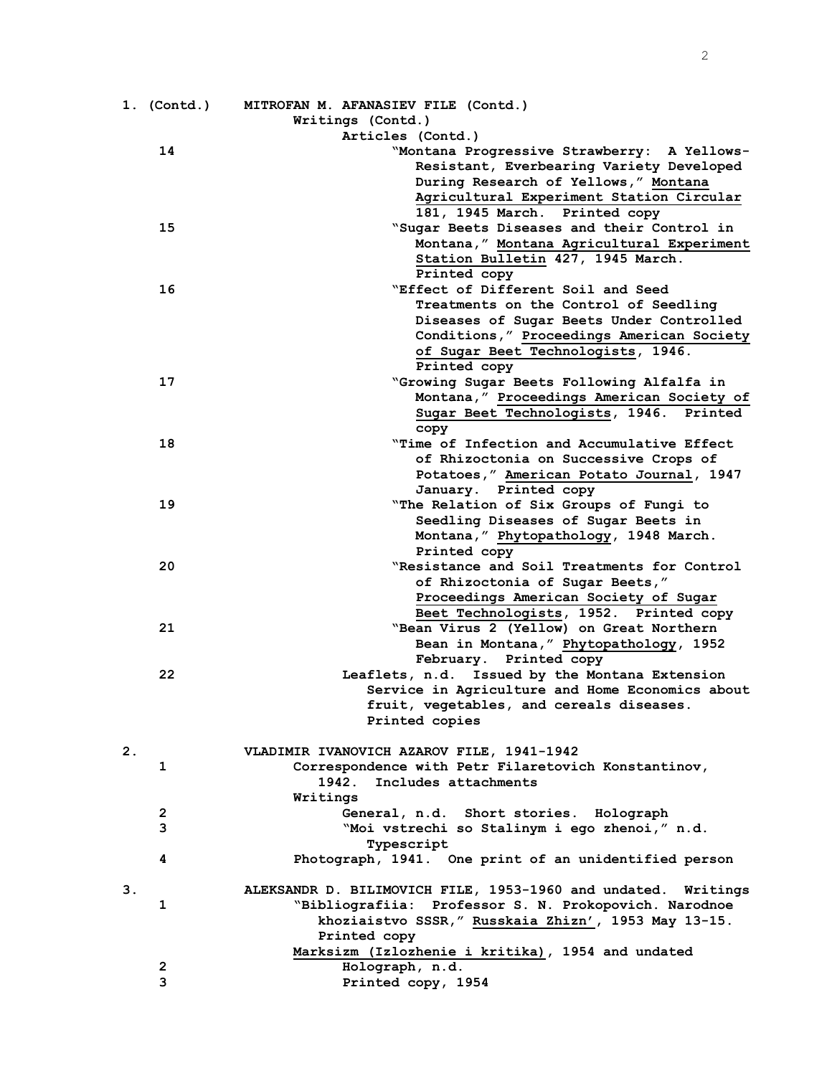|    | $1.$ (Contd.) | MITROFAN M. AFANASIEV FILE (Contd.)                                 |
|----|---------------|---------------------------------------------------------------------|
|    |               | Writings (Contd.)                                                   |
|    |               | Articles (Contd.)                                                   |
|    | 14            | "Montana Progressive Strawberry: A Yellows-                         |
|    |               | Resistant, Everbearing Variety Developed                            |
|    |               | During Research of Yellows," Montana                                |
|    |               | Agricultural Experiment Station Circular                            |
|    |               | 181, 1945 March. Printed copy                                       |
|    | 15            | "Sugar Beets Diseases and their Control in                          |
|    |               | Montana, " Montana Agricultural Experiment                          |
|    |               | Station Bulletin 427, 1945 March.                                   |
|    |               | Printed copy                                                        |
|    | 16            | "Effect of Different Soil and Seed                                  |
|    |               | Treatments on the Control of Seedling                               |
|    |               | Diseases of Sugar Beets Under Controlled                            |
|    |               | Conditions," Proceedings American Society                           |
|    |               | of Sugar Beet Technologists, 1946.                                  |
|    | 17            | Printed copy<br>"Growing Sugar Beets Following Alfalfa in           |
|    |               | Montana," Proceedings American Society of                           |
|    |               | Sugar Beet Technologists, 1946. Printed                             |
|    |               | copy                                                                |
|    | 18            | "Time of Infection and Accumulative Effect                          |
|    |               | of Rhizoctonia on Successive Crops of                               |
|    |               | Potatoes," American Potato Journal, 1947                            |
|    |               | January. Printed copy                                               |
|    | 19            | "The Relation of Six Groups of Fungi to                             |
|    |               | Seedling Diseases of Sugar Beets in                                 |
|    |               | Montana, " Phytopathology, 1948 March.                              |
|    |               | Printed copy                                                        |
|    | 20            | "Resistance and Soil Treatments for Control                         |
|    |               | of Rhizoctonia of Sugar Beets,"                                     |
|    |               | Proceedings American Society of Sugar                               |
|    |               | Beet Technologists, 1952. Printed copy                              |
|    | 21            | "Bean Virus 2 (Yellow) on Great Northern                            |
|    |               | Bean in Montana," Phytopathology, 1952                              |
|    |               | February. Printed copy                                              |
|    | 22            | Leaflets, n.d. Issued by the Montana Extension                      |
|    |               | Service in Agriculture and Home Economics about                     |
|    |               | fruit, vegetables, and cereals diseases.                            |
|    |               | Printed copies                                                      |
|    |               |                                                                     |
| 2. |               | VLADIMIR IVANOVICH AZAROV FILE, 1941-1942                           |
|    | 1             | Correspondence with Petr Filaretovich Konstantinov,                 |
|    |               | 1942.<br>Includes attachments                                       |
|    |               | Writings                                                            |
|    | 2<br>3        | General, n.d. Short stories. Holograph                              |
|    |               | "Moi vstrechi so Stalinym i ego zhenoi," n.d.                       |
|    | 4             | Typescript<br>Photograph, 1941. One print of an unidentified person |
|    |               |                                                                     |
| 3. |               | ALEKSANDR D. BILIMOVICH FILE, 1953-1960 and undated. Writings       |
|    | 1             | "Bibliografiia: Professor S. N. Prokopovich. Narodnoe               |
|    |               | khoziaistvo SSSR, "Russkaia Zhizn', 1953 May 13-15.                 |
|    |               | Printed copy                                                        |
|    |               | Marksizm (Izlozhenie i kritika), 1954 and undated                   |
|    | $\mathbf{2}$  | Holograph, n.d.                                                     |
|    | 3             | Printed copy, 1954                                                  |
|    |               |                                                                     |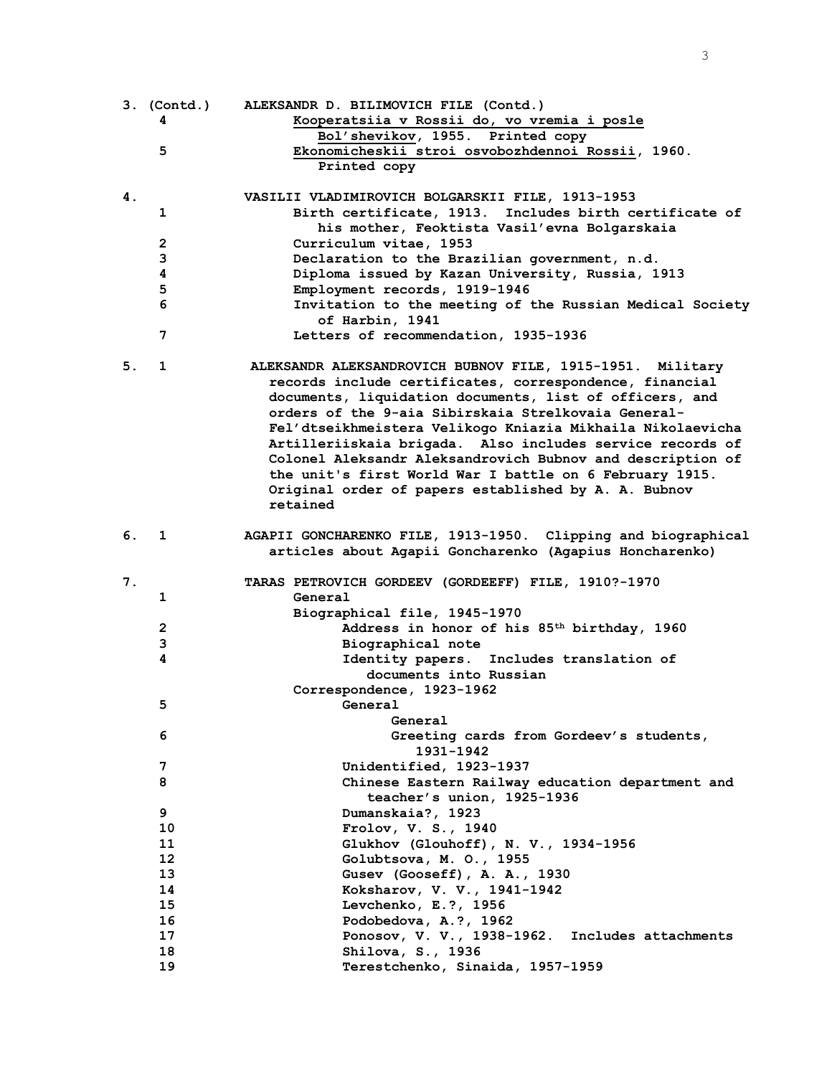|    |                       | 3. (Contd.) ALEKSANDR D. BILIMOVICH FILE (Contd.)                                     |
|----|-----------------------|---------------------------------------------------------------------------------------|
|    | 4                     | Kooperatsiia v Rossii do, vo vremia i posle                                           |
|    | 5                     | Bol'shevikov, 1955. Printed copy<br>Ekonomicheskii stroi osvobozhdennoi Rossii, 1960. |
|    |                       | Printed copy                                                                          |
|    |                       |                                                                                       |
| 4. |                       | VASILII VLADIMIROVICH BOLGARSKII FILE, 1913-1953                                      |
|    | 1                     | Birth certificate, 1913. Includes birth certificate of                                |
|    |                       | his mother, Feoktista Vasil'evna Bolgarskaia                                          |
|    | 2                     | Curriculum vitae, 1953                                                                |
|    | 3                     | Declaration to the Brazilian government, n.d.                                         |
|    | 4                     | Diploma issued by Kazan University, Russia, 1913                                      |
|    | 5                     | Employment records, 1919-1946                                                         |
|    | 6                     | Invitation to the meeting of the Russian Medical Society                              |
|    |                       | of Harbin, 1941                                                                       |
|    | 7                     | Letters of recommendation, 1935-1936                                                  |
| 5. | 1                     | ALEKSANDR ALEKSANDROVICH BUBNOV FILE, 1915-1951. Military                             |
|    |                       | records include certificates, correspondence, financial                               |
|    |                       | documents, liquidation documents, list of officers, and                               |
|    |                       | orders of the 9-aia Sibirskaia Strelkovaia General-                                   |
|    |                       | Fel'dtseikhmeistera Velikogo Kniazia Mikhaila Nikolaevicha                            |
|    |                       | Artilleriiskaia brigada. Also includes service records of                             |
|    |                       | Colonel Aleksandr Aleksandrovich Bubnov and description of                            |
|    |                       | the unit's first World War I battle on 6 February 1915.                               |
|    |                       | Original order of papers established by A. A. Bubnov                                  |
|    |                       | retained                                                                              |
| 6. | 1                     | AGAPII GONCHARENKO FILE, 1913-1950. Clipping and biographical                         |
|    |                       | articles about Agapii Goncharenko (Agapius Honcharenko)                               |
|    |                       |                                                                                       |
| 7. |                       | TARAS PETROVICH GORDEEV (GORDEEFF) FILE, 1910?-1970                                   |
|    | 1                     | General                                                                               |
|    |                       | Biographical file, 1945-1970                                                          |
|    | 2                     | Address in honor of his 85 <sup>th</sup> birthday, 1960                               |
|    | 3                     | Biographical note                                                                     |
|    | 4                     | Identity papers. Includes translation of                                              |
|    |                       | documents into Russian                                                                |
|    | 5                     | Correspondence, 1923-1962<br>General                                                  |
|    |                       | General                                                                               |
|    | 6                     | Greeting cards from Gordeev's students,                                               |
|    |                       | 1931-1942                                                                             |
|    | 7                     | Unidentified, 1923-1937                                                               |
|    | 8                     | Chinese Eastern Railway education department and                                      |
|    |                       | teacher's union, 1925-1936                                                            |
|    | 9                     | Dumanskaia?, 1923                                                                     |
|    | 10                    | Frolov, V. S., 1940                                                                   |
|    | 11<br>12 <sup>2</sup> | Glukhov (Glouhoff), N. V., 1934-1956                                                  |
|    | 13                    | Golubtsova, M. O., 1955<br>Gusev (Gooseff), A. A., 1930                               |
|    | 14                    | Koksharov, V. V., 1941-1942                                                           |
|    | 15                    | Levchenko, E.?, 1956                                                                  |
|    | 16                    | Podobedova, A.?, 1962                                                                 |
|    | 17                    | Ponosov, V. V., 1938-1962. Includes attachments                                       |
|    | 18                    | Shilova, S., 1936                                                                     |
|    | 19                    | Terestchenko, Sinaida, 1957-1959                                                      |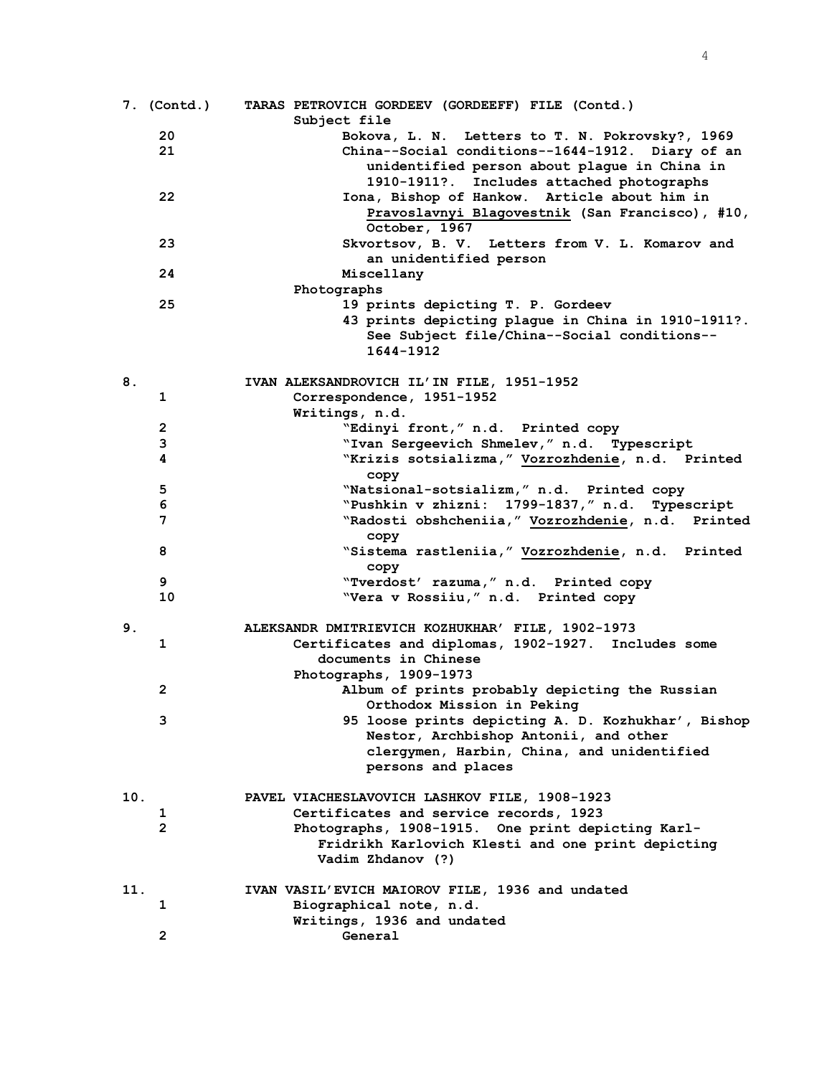|     | 7. (Contd.)    | TARAS PETROVICH GORDEEV (GORDEEFF) FILE (Contd.)<br>Subject file |
|-----|----------------|------------------------------------------------------------------|
|     | 20             | Bokova, L. N. Letters to T. N. Pokrovsky?, 1969                  |
|     | 21             | China--Social conditions--1644-1912. Diary of an                 |
|     |                | unidentified person about plague in China in                     |
|     |                | 1910-1911?. Includes attached photographs                        |
|     | 22             | Iona, Bishop of Hankow. Article about him in                     |
|     |                | Pravoslavnyi Blagovestnik (San Francisco), #10,                  |
|     |                | October, 1967                                                    |
|     | 23             | Skvortsov, B. V. Letters from V. L. Komarov and                  |
|     |                | an unidentified person                                           |
|     | 24             | Miscellany                                                       |
|     |                | Photographs                                                      |
|     | 25             | 19 prints depicting T. P. Gordeev                                |
|     |                | 43 prints depicting plague in China in 1910-1911?.               |
|     |                | See Subject file/China--Social conditions--                      |
|     |                | 1644-1912                                                        |
|     |                |                                                                  |
| 8.  |                | IVAN ALEKSANDROVICH IL'IN FILE, 1951-1952                        |
|     | 1              | Correspondence, 1951-1952                                        |
|     |                | Writings, n.d.                                                   |
|     | 2              | "Edinyi front," n.d. Printed copy                                |
|     | 3              | "Ivan Sergeevich Shmelev," n.d. Typescript                       |
|     | 4              | "Krizis sotsializma," Vozrozhdenie, n.d. Printed                 |
|     |                | copy                                                             |
|     | 5              | "Natsional-sotsializm," n.d. Printed copy                        |
|     | 6              | "Pushkin v zhizni: 1799-1837," n.d. Typescript                   |
|     | 7              | "Radosti obshcheniia," Vozrozhdenie, n.d. Printed<br>copy        |
|     | 8              | "Sistema rastleniia," Vozrozhdenie, n.d. Printed                 |
|     |                | copy                                                             |
|     | 9              | "Tverdost' razuma, " n.d. Printed copy                           |
|     | 10             | "Vera v Rossiiu," n.d. Printed copy                              |
|     |                |                                                                  |
| 9.  |                | ALEKSANDR DMITRIEVICH KOZHUKHAR' FILE, 1902-1973                 |
|     | 1              | Certificates and diplomas, 1902-1927. Includes some              |
|     |                | documents in Chinese                                             |
|     |                | Photographs, 1909-1973                                           |
|     | $\mathbf{2}$   | Album of prints probably depicting the Russian                   |
|     |                | Orthodox Mission in Peking                                       |
|     | 3              | 95 loose prints depicting A. D. Kozhukhar', Bishop               |
|     |                | Nestor, Archbishop Antonii, and other                            |
|     |                | clergymen, Harbin, China, and unidentified                       |
|     |                | persons and places                                               |
| 10. |                | PAVEL VIACHESLAVOVICH LASHKOV FILE, 1908-1923                    |
|     | ı              | Certificates and service records, 1923                           |
|     | $\overline{2}$ | Photographs, 1908-1915. One print depicting Karl-                |
|     |                | Fridrikh Karlovich Klesti and one print depicting                |
|     |                | Vadim Zhdanov (?)                                                |
|     |                |                                                                  |
| 11. |                | IVAN VASIL'EVICH MAIOROV FILE, 1936 and undated                  |
|     | 1              | Biographical note, n.d.                                          |
|     |                | Writings, 1936 and undated                                       |
|     | $\mathbf{2}$   | General                                                          |

4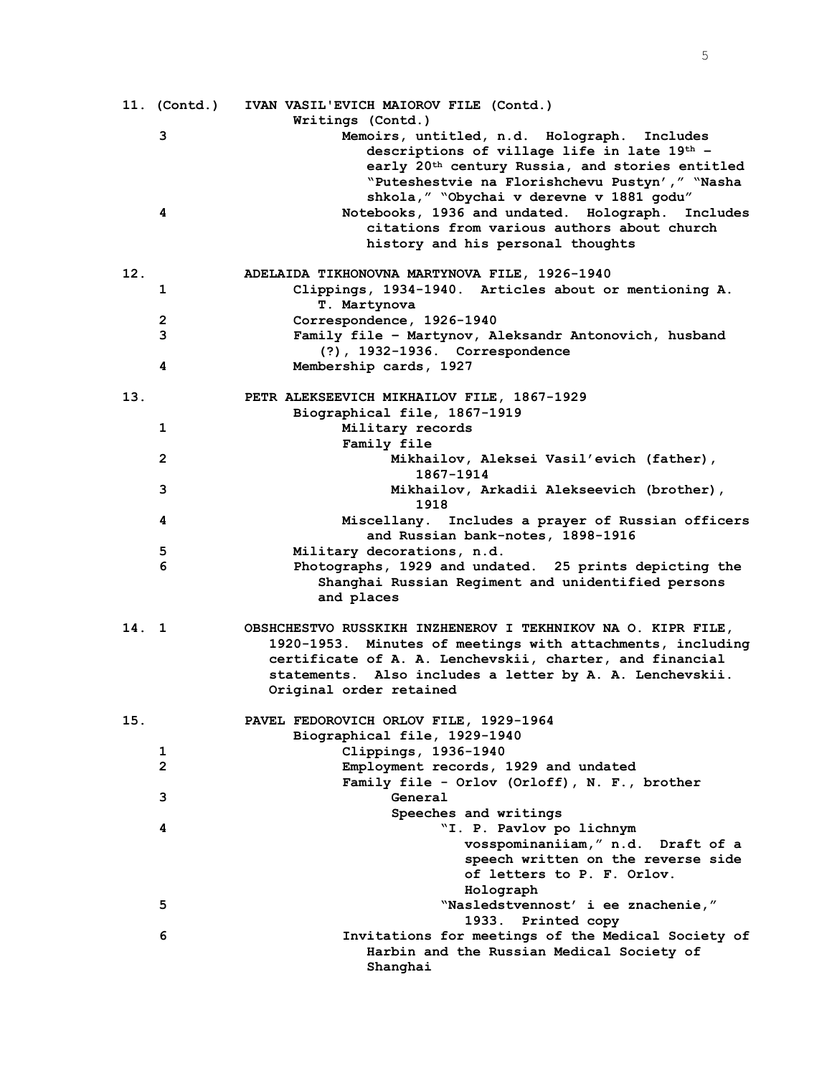|       | 11. (Contd.)   | IVAN VASIL'EVICH MAIOROV FILE (Contd.)                              |
|-------|----------------|---------------------------------------------------------------------|
|       | 3              | Writings (Contd.)<br>Memoirs, untitled, n.d. Holograph.<br>Includes |
|       |                | descriptions of village life in late 19th -                         |
|       |                | early 20 <sup>th</sup> century Russia, and stories entitled         |
|       |                | "Puteshestvie na Florishchevu Pustyn'," "Nasha                      |
|       |                | shkola, " "Obychai v derevne v 1881 godu"                           |
|       | 4              | Notebooks, 1936 and undated. Holograph. Includes                    |
|       |                | citations from various authors about church                         |
|       |                | history and his personal thoughts                                   |
|       |                |                                                                     |
| 12.   |                | ADELAIDA TIKHONOVNA MARTYNOVA FILE, 1926-1940                       |
|       | 1              | Clippings, 1934-1940. Articles about or mentioning A.               |
|       |                | T. Martynova                                                        |
|       | 2              | Correspondence, 1926-1940                                           |
|       | 3              | Family file - Martynov, Aleksandr Antonovich, husband               |
|       |                | (?), 1932-1936. Correspondence                                      |
|       | 4              | Membership cards, 1927                                              |
| 13.   |                | PETR ALEKSEEVICH MIKHAILOV FILE, 1867-1929                          |
|       |                | Biographical file, 1867-1919                                        |
|       | 1              | Military records                                                    |
|       |                | Family file                                                         |
|       | 2              | Mikhailov, Aleksei Vasil'evich (father),                            |
|       |                | 1867-1914                                                           |
|       | з              | Mikhailov, Arkadii Alekseevich (brother),                           |
|       |                | 1918                                                                |
|       | 4              | Miscellany. Includes a prayer of Russian officers                   |
|       |                | and Russian bank-notes, 1898-1916                                   |
|       | 5              | Military decorations, n.d.                                          |
|       | 6              | Photographs, 1929 and undated. 25 prints depicting the              |
|       |                | Shanghai Russian Regiment and unidentified persons                  |
|       |                | and places                                                          |
| 14. 1 |                | OBSHCHESTVO RUSSKIKH INZHENEROV I TEKHNIKOV NA O. KIPR FILE,        |
|       |                | 1920-1953. Minutes of meetings with attachments, including          |
|       |                | certificate of A. A. Lenchevskii, charter, and financial            |
|       |                | statements. Also includes a letter by A. A. Lenchevskii.            |
|       |                | Original order retained                                             |
| 15.   |                | PAVEL FEDOROVICH ORLOV FILE, 1929-1964                              |
|       |                | Biographical file, 1929-1940                                        |
|       | 1              | Clippings, 1936-1940                                                |
|       | $\overline{2}$ | Employment records, 1929 and undated                                |
|       |                | Family file - Orlov (Orloff), N. F., brother                        |
|       | 3              | General                                                             |
|       |                | Speeches and writings                                               |
|       | 4              | "I. P. Pavlov po lichnym                                            |
|       |                | vosspominaniiam," n.d. Draft of a                                   |
|       |                | speech written on the reverse side                                  |
|       |                | of letters to P. F. Orlov.                                          |
|       |                | Holograph                                                           |
|       | 5              | "Nasledstvennost' i ee znachenie,"                                  |
|       |                | 1933. Printed copy                                                  |
|       | 6              | Invitations for meetings of the Medical Society of                  |
|       |                | Harbin and the Russian Medical Society of                           |
|       |                | Shanghai                                                            |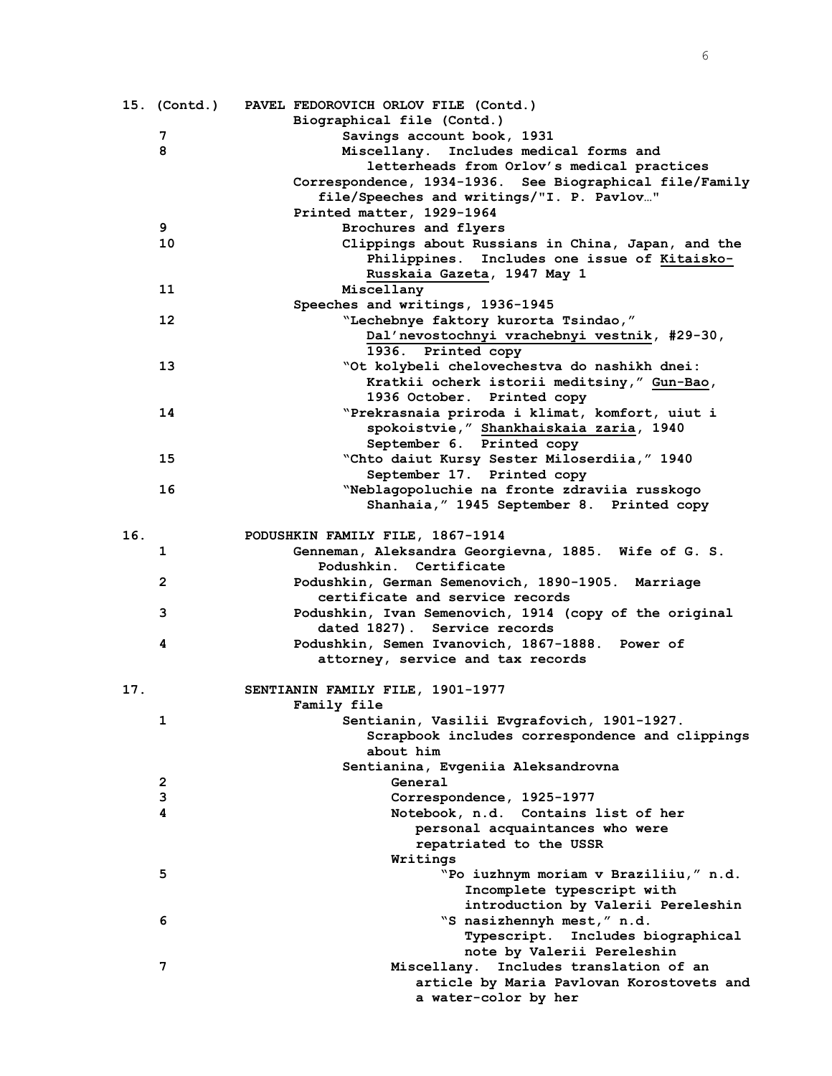|     | 15. (Contd.) | PAVEL FEDOROVICH ORLOV FILE (Contd.)                    |
|-----|--------------|---------------------------------------------------------|
|     |              | Biographical file (Contd.)                              |
|     | 7            | Savings account book, 1931                              |
|     | 8            | Miscellany. Includes medical forms and                  |
|     |              | letterheads from Orlov's medical practices              |
|     |              | Correspondence, 1934-1936. See Biographical file/Family |
|     |              | file/Speeches and writings/"I. P. Pavlov"               |
|     |              | Printed matter, 1929-1964                               |
|     | 9            | Brochures and flyers                                    |
|     | 10           | Clippings about Russians in China, Japan, and the       |
|     |              |                                                         |
|     |              | Philippines. Includes one issue of Kitaisko-            |
|     |              | Russkaia Gazeta, 1947 May 1                             |
|     | 11           | Miscellany                                              |
|     |              | Speeches and writings, 1936-1945                        |
|     | 12           | "Lechebnye faktory kurorta Tsindao,"                    |
|     |              | Dal'nevostochnyi vrachebnyi vestnik, #29-30,            |
|     |              | 1936. Printed copy                                      |
|     | 13           | "Ot kolybeli chelovechestva do nashikh dnei:            |
|     |              | Kratkii ocherk istorii meditsiny," Gun-Bao,             |
|     |              | 1936 October. Printed copy                              |
|     | 14           | "Prekrasnaia priroda i klimat, komfort, uiut i          |
|     |              | spokoistvie, "Shankhaiskaia zaria, 1940                 |
|     |              | September 6. Printed copy                               |
|     | 15           | "Chto daiut Kursy Sester Miloserdiia," 1940             |
|     |              | September 17. Printed copy                              |
|     |              |                                                         |
|     | 16           | "Neblagopoluchie na fronte zdraviia russkogo            |
|     |              | Shanhaia, " 1945 September 8. Printed copy              |
|     |              |                                                         |
| 16. |              | PODUSHKIN FAMILY FILE, 1867-1914                        |
|     | 1            | Genneman, Aleksandra Georgievna, 1885. Wife of G. S.    |
|     |              | Podushkin, Certificate                                  |
|     | $\mathbf{2}$ | Podushkin, German Semenovich, 1890-1905. Marriage       |
|     |              | certificate and service records                         |
|     | 3            | Podushkin, Ivan Semenovich, 1914 (copy of the original  |
|     |              | dated 1827). Service records                            |
|     | 4            | Podushkin, Semen Ivanovich, 1867-1888. Power of         |
|     |              | attorney, service and tax records                       |
|     |              |                                                         |
| 17. |              | SENTIANIN FAMILY FILE, 1901-1977                        |
|     |              | <b>Family file</b>                                      |
|     | 1            | Sentianin, Vasilii Evgrafovich, 1901-1927.              |
|     |              | Scrapbook includes correspondence and clippings         |
|     |              | about him                                               |
|     |              | Sentianina, Evgeniia Aleksandrovna                      |
|     | 2            | General                                                 |
|     | 3            | Correspondence, 1925-1977                               |
|     | 4            |                                                         |
|     |              | Notebook, n.d. Contains list of her                     |
|     |              | personal acquaintances who were                         |
|     |              | repatriated to the USSR                                 |
|     |              | Writings                                                |
|     | 5            | "Po iuzhnym moriam v Braziliiu," n.d.                   |
|     |              | Incomplete typescript with                              |
|     |              | introduction by Valerii Pereleshin                      |
|     | 6            | "S nasizhennyh mest," n.d.                              |
|     |              | <b>Typescript.</b><br>Includes biographical             |
|     |              | note by Valerii Pereleshin                              |
|     | 7            | Includes translation of an<br>Miscellany.               |
|     |              | article by Maria Pavlovan Korostovets and               |
|     |              | a water-color by her                                    |
|     |              |                                                         |